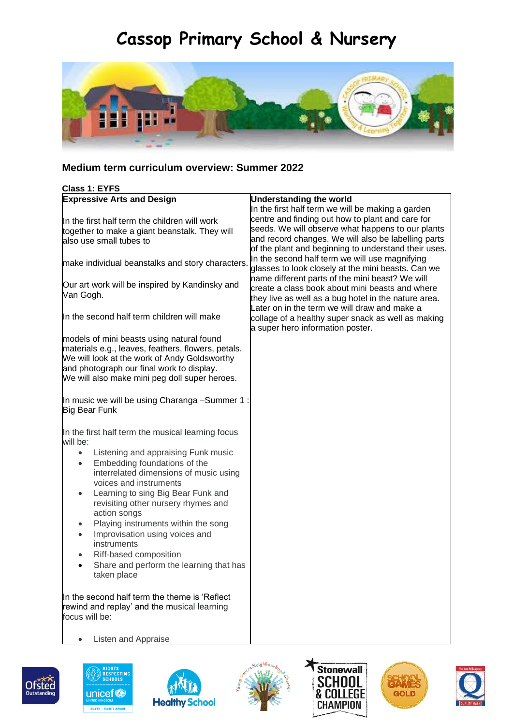# **Cassop Primary School & Nursery**



## **Medium term curriculum overview: Summer 2022**

| <b>Expressive Arts and Design</b>                           |                                                      |
|-------------------------------------------------------------|------------------------------------------------------|
|                                                             | <b>Understanding the world</b>                       |
|                                                             | In the first half term we will be making a garden    |
| In the first half term the children will work               | centre and finding out how to plant and care for     |
| together to make a giant beanstalk. They will               | seeds. We will observe what happens to our plants    |
| also use small tubes to                                     | and record changes. We will also be labelling parts  |
|                                                             | of the plant and beginning to understand their uses. |
| make individual beanstalks and story characters.            | In the second half term we will use magnifying       |
|                                                             | glasses to look closely at the mini beasts. Can we   |
|                                                             | name different parts of the mini beast? We will      |
| Our art work will be inspired by Kandinsky and<br>Van Gogh. | create a class book about mini beasts and where      |
|                                                             | they live as well as a bug hotel in the nature area. |
|                                                             | Later on in the term we will draw and make a         |
| In the second half term children will make                  | collage of a healthy super snack as well as making   |
|                                                             | a super hero information poster.                     |
| models of mini beasts using natural found                   |                                                      |
| materials e.g., leaves, feathers, flowers, petals.          |                                                      |
| We will look at the work of Andy Goldsworthy                |                                                      |
| and photograph our final work to display.                   |                                                      |
| We will also make mini peg doll super heroes.               |                                                      |
|                                                             |                                                      |
| In music we will be using Charanga -Summer 1:               |                                                      |
| <b>Big Bear Funk</b>                                        |                                                      |
|                                                             |                                                      |
|                                                             |                                                      |
| In the first half term the musical learning focus           |                                                      |
| will be:                                                    |                                                      |
| Listening and appraising Funk music<br>$\bullet$            |                                                      |
| Embedding foundations of the<br>$\bullet$                   |                                                      |
| interrelated dimensions of music using                      |                                                      |
| voices and instruments                                      |                                                      |
| Learning to sing Big Bear Funk and<br>$\bullet$             |                                                      |
| revisiting other nursery rhymes and                         |                                                      |
| action songs                                                |                                                      |
| Playing instruments within the song<br>$\bullet$            |                                                      |
| Improvisation using voices and                              |                                                      |
| instruments                                                 |                                                      |
| Riff-based composition<br>$\bullet$                         |                                                      |
| Share and perform the learning that has                     |                                                      |
| taken place                                                 |                                                      |
|                                                             |                                                      |
|                                                             |                                                      |
| In the second half term the theme is 'Reflect               |                                                      |
| rewind and replay' and the musical learning                 |                                                      |
| focus will be:                                              |                                                      |
|                                                             |                                                      |
| Listen and Appraise                                         |                                                      |











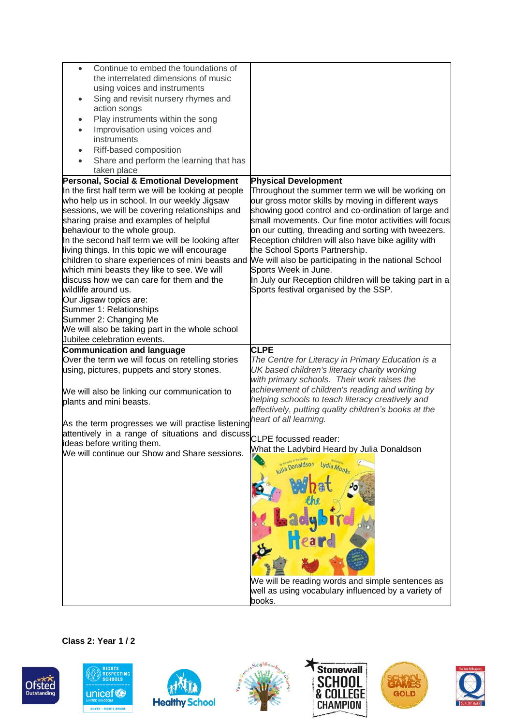| Continue to embed the foundations of<br>$\bullet$                                                                            |                                                                                                       |
|------------------------------------------------------------------------------------------------------------------------------|-------------------------------------------------------------------------------------------------------|
| the interrelated dimensions of music                                                                                         |                                                                                                       |
| using voices and instruments                                                                                                 |                                                                                                       |
| Sing and revisit nursery rhymes and<br>$\bullet$                                                                             |                                                                                                       |
| action songs                                                                                                                 |                                                                                                       |
| Play instruments within the song<br>$\bullet$                                                                                |                                                                                                       |
| Improvisation using voices and                                                                                               |                                                                                                       |
| instruments                                                                                                                  |                                                                                                       |
| Riff-based composition<br>$\bullet$                                                                                          |                                                                                                       |
| Share and perform the learning that has                                                                                      |                                                                                                       |
| taken place                                                                                                                  |                                                                                                       |
| Personal, Social & Emotional Development                                                                                     | <b>Physical Development</b>                                                                           |
| In the first half term we will be looking at people                                                                          | Throughout the summer term we will be working on                                                      |
| who help us in school. In our weekly Jigsaw                                                                                  | our gross motor skills by moving in different ways                                                    |
| sessions, we will be covering relationships and                                                                              | showing good control and co-ordination of large and                                                   |
| sharing praise and examples of helpful                                                                                       | small movements. Our fine motor activities will focus                                                 |
| behaviour to the whole group.                                                                                                | on our cutting, threading and sorting with tweezers.                                                  |
| In the second half term we will be looking after<br>living things. In this topic we will encourage                           | Reception children will also have bike agility with<br>the School Sports Partnership.                 |
|                                                                                                                              | children to share experiences of mini beasts and We will also be participating in the national School |
| which mini beasts they like to see. We will                                                                                  | Sports Week in June.                                                                                  |
| discuss how we can care for them and the                                                                                     | In July our Reception children will be taking part in a                                               |
| wildlife around us.                                                                                                          | Sports festival organised by the SSP.                                                                 |
| Our Jigsaw topics are:                                                                                                       |                                                                                                       |
| Summer 1: Relationships                                                                                                      |                                                                                                       |
| Summer 2: Changing Me                                                                                                        |                                                                                                       |
| We will also be taking part in the whole school                                                                              |                                                                                                       |
|                                                                                                                              |                                                                                                       |
| Jubilee celebration events.                                                                                                  |                                                                                                       |
| <b>Communication and language</b>                                                                                            | <b>CLPE</b>                                                                                           |
| Over the term we will focus on retelling stories                                                                             | The Centre for Literacy in Primary Education is a                                                     |
| using, pictures, puppets and story stones.                                                                                   | UK based children's literacy charity working                                                          |
|                                                                                                                              | with primary schools. Their work raises the                                                           |
| We will also be linking our communication to                                                                                 | achievement of children's reading and writing by                                                      |
| plants and mini beasts.                                                                                                      | helping schools to teach literacy creatively and                                                      |
|                                                                                                                              | effectively, putting quality children's books at the                                                  |
|                                                                                                                              |                                                                                                       |
| As the term progresses we will practise listening heart of all learning.<br>attentively in a range of situations and discuss |                                                                                                       |
| ideas before writing them.                                                                                                   | CLPE focussed reader:                                                                                 |
| We will continue our Show and Share sessions.                                                                                | What the Ladybird Heard by Julia Donaldson                                                            |
|                                                                                                                              |                                                                                                       |
|                                                                                                                              | <b>Julia Donaldson</b><br>Lydia Monks                                                                 |
|                                                                                                                              |                                                                                                       |
|                                                                                                                              |                                                                                                       |
|                                                                                                                              |                                                                                                       |
|                                                                                                                              |                                                                                                       |
|                                                                                                                              |                                                                                                       |
|                                                                                                                              |                                                                                                       |
|                                                                                                                              |                                                                                                       |
|                                                                                                                              |                                                                                                       |
|                                                                                                                              |                                                                                                       |
|                                                                                                                              | We will be reading words and simple sentences as                                                      |
|                                                                                                                              | well as using vocabulary influenced by a variety of<br>books.                                         |

#### **Class 2: Year 1 / 2**













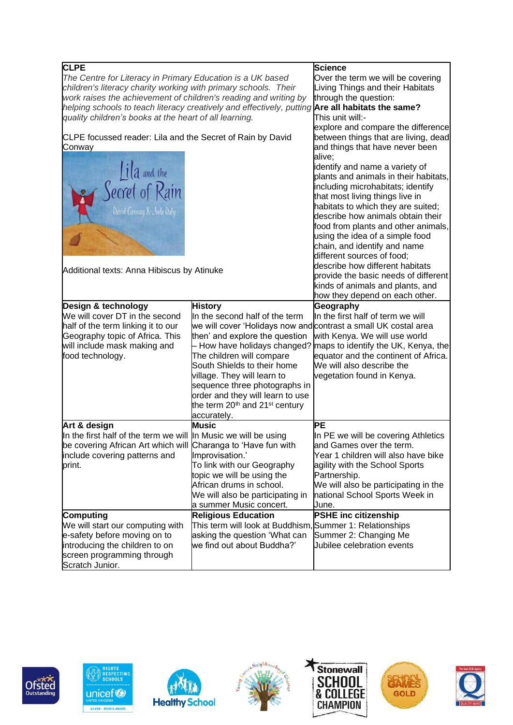| <b>CLPE</b>                                                                                             |                                                                 | <b>Science</b>                        |
|---------------------------------------------------------------------------------------------------------|-----------------------------------------------------------------|---------------------------------------|
|                                                                                                         |                                                                 | Over the term we will be covering     |
| The Centre for Literacy in Primary Education is a UK based                                              |                                                                 |                                       |
| children's literacy charity working with primary schools. Their                                         |                                                                 | Living Things and their Habitats      |
| work raises the achievement of children's reading and writing by                                        |                                                                 | through the question:                 |
| helping schools to teach literacy creatively and effectively, putting <b>Are all habitats the same?</b> |                                                                 |                                       |
| quality children's books at the heart of all learning.                                                  |                                                                 | This unit will:-                      |
|                                                                                                         |                                                                 | explore and compare the difference    |
| CLPE focussed reader: Lila and the Secret of Rain by David                                              |                                                                 | between things that are living, dead  |
| Conway                                                                                                  |                                                                 | and things that have never been       |
|                                                                                                         |                                                                 | alive:                                |
|                                                                                                         |                                                                 | identify and name a variety of        |
|                                                                                                         |                                                                 | plants and animals in their habitats, |
|                                                                                                         |                                                                 | including microhabitats; identify     |
|                                                                                                         |                                                                 | that most living things live in       |
| Iila and the<br>Secret of Rain                                                                          |                                                                 |                                       |
|                                                                                                         |                                                                 | habitats to which they are suited;    |
|                                                                                                         |                                                                 | describe how animals obtain their     |
|                                                                                                         |                                                                 | food from plants and other animals,   |
|                                                                                                         |                                                                 | using the idea of a simple food       |
|                                                                                                         |                                                                 | chain, and identify and name          |
|                                                                                                         |                                                                 | different sources of food;            |
|                                                                                                         |                                                                 | describe how different habitats       |
| Additional texts: Anna Hibiscus by Atinuke                                                              |                                                                 | provide the basic needs of different  |
|                                                                                                         |                                                                 | kinds of animals and plants, and      |
|                                                                                                         |                                                                 | how they depend on each other.        |
| Design & technology                                                                                     | <b>History</b>                                                  | Geography                             |
| We will cover DT in the second                                                                          | In the second half of the term                                  | In the first half of term we will     |
| half of the term linking it to our                                                                      | we will cover 'Holidays now and contrast a small UK costal area |                                       |
|                                                                                                         |                                                                 |                                       |
| Geography topic of Africa. This                                                                         | then' and explore the question                                  | with Kenya. We will use world         |
| will include mask making and                                                                            | - How have holidays changed?                                    | maps to identify the UK, Kenya, the   |
| food technology.                                                                                        | The children will compare                                       | equator and the continent of Africa.  |
|                                                                                                         | South Shields to their home                                     | We will also describe the             |
|                                                                                                         | village. They will learn to                                     | vegetation found in Kenya.            |
|                                                                                                         | sequence three photographs in                                   |                                       |
|                                                                                                         | order and they will learn to use                                |                                       |
|                                                                                                         | the term 20 <sup>th</sup> and 21 <sup>st</sup> century          |                                       |
|                                                                                                         | accurately.                                                     |                                       |
| Art & design                                                                                            | Music                                                           | PЕ                                    |
| In the first half of the term we will In Music we will be using                                         |                                                                 | In PE we will be covering Athletics   |
| be covering African Art which will Charanga to 'Have fun with                                           |                                                                 | and Games over the term.              |
|                                                                                                         |                                                                 | Year 1 children will also have bike   |
| include covering patterns and                                                                           | Improvisation.'                                                 |                                       |
| print.                                                                                                  | To link with our Geography                                      | agility with the School Sports        |
|                                                                                                         | topic we will be using the                                      | Partnership.                          |
|                                                                                                         | African drums in school.                                        | We will also be participating in the  |
|                                                                                                         | We will also be participating in                                | national School Sports Week in        |
|                                                                                                         | a summer Music concert.                                         | June.                                 |
| Computing                                                                                               | <b>Religious Education</b>                                      | <b>PSHE inc citizenship</b>           |
| We will start our computing with                                                                        | This term will look at Buddhism, Summer 1: Relationships        |                                       |
| e-safety before moving on to                                                                            | asking the question 'What can                                   | Summer 2: Changing Me                 |
| introducing the children to on                                                                          | we find out about Buddha?'                                      | Jubilee celebration events            |
| screen programming through                                                                              |                                                                 |                                       |
| Scratch Junior.                                                                                         |                                                                 |                                       |
|                                                                                                         |                                                                 |                                       |













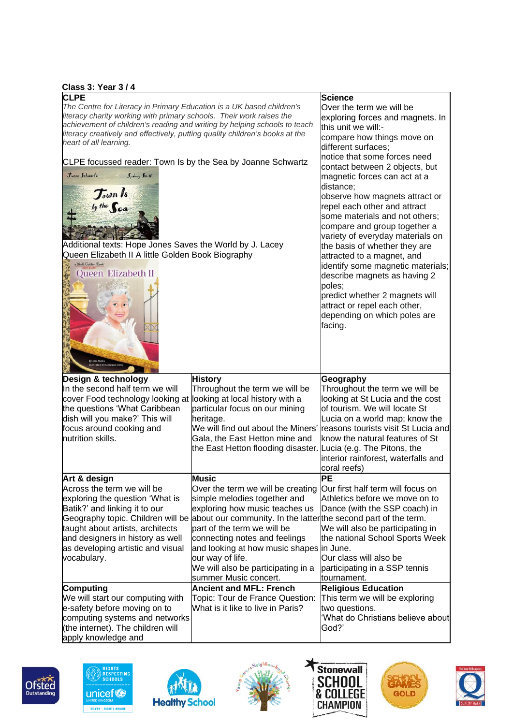#### **Class 3: Year 3 / 4**

| <b>ပ္Class 3: Year 374</b>                                                                                                                                                                                                                                                                                                                                                                                                                                                                                                                                                                                                               |                                                                                                                                                                                                                                                                                                                                                                                                                         |                                                                                                                                                                                                                                                                                                                                                                                                                                                                                                                                                                                                                                                                                                              |
|------------------------------------------------------------------------------------------------------------------------------------------------------------------------------------------------------------------------------------------------------------------------------------------------------------------------------------------------------------------------------------------------------------------------------------------------------------------------------------------------------------------------------------------------------------------------------------------------------------------------------------------|-------------------------------------------------------------------------------------------------------------------------------------------------------------------------------------------------------------------------------------------------------------------------------------------------------------------------------------------------------------------------------------------------------------------------|--------------------------------------------------------------------------------------------------------------------------------------------------------------------------------------------------------------------------------------------------------------------------------------------------------------------------------------------------------------------------------------------------------------------------------------------------------------------------------------------------------------------------------------------------------------------------------------------------------------------------------------------------------------------------------------------------------------|
| <b>CLPE</b><br>The Centre for Literacy in Primary Education is a UK based children's<br>literacy charity working with primary schools. Their work raises the<br>achievement of children's reading and writing by helping schools to teach<br>literacy creatively and effectively, putting quality children's books at the<br>heart of all learning.<br>CLPE focussed reader: Town Is by the Sea by Joanne Schwartz<br>Jeanne Schwartz<br><i>Sydney Smith</i><br>Journ 1s<br>Additional texts: Hope Jones Saves the World by J. Lacey<br>Queen Elizabeth II A little Golden Book Biography<br>a Suttle Golden Book"<br>Queen Elizabeth II |                                                                                                                                                                                                                                                                                                                                                                                                                         | <b>Science</b><br>Over the term we will be<br>exploring forces and magnets. In<br>this unit we will:-<br>compare how things move on<br>different surfaces:<br>notice that some forces need<br>contact between 2 objects, but<br>magnetic forces can act at a<br>distance;<br>observe how magnets attract or<br>repel each other and attract<br>some materials and not others;<br>compare and group together a<br>variety of everyday materials on<br>the basis of whether they are<br>attracted to a magnet, and<br>identify some magnetic materials;<br>describe magnets as having 2<br>poles;<br>predict whether 2 magnets will<br>attract or repel each other,<br>depending on which poles are<br>facing. |
|                                                                                                                                                                                                                                                                                                                                                                                                                                                                                                                                                                                                                                          |                                                                                                                                                                                                                                                                                                                                                                                                                         |                                                                                                                                                                                                                                                                                                                                                                                                                                                                                                                                                                                                                                                                                                              |
| Design & technology<br>In the second half term we will<br>cover Food technology looking at looking at local history with a<br>the questions 'What Caribbean<br>dish will you make?' This will<br>focus around cooking and<br>nutrition skills.                                                                                                                                                                                                                                                                                                                                                                                           | <b>History</b><br>Throughout the term we will be<br>particular focus on our mining<br>heritage.<br>We will find out about the Miners'<br>Gala, the East Hetton mine and<br>the East Hetton flooding disaster. Lucia (e.g. The Pitons, the                                                                                                                                                                               | Geography<br>Throughout the term we will be<br>looking at St Lucia and the cost<br>of tourism. We will locate St<br>Lucia on a world map; know the<br>reasons tourists visit St Lucia and<br>know the natural features of St<br>interior rainforest, waterfalls and<br>coral reefs)                                                                                                                                                                                                                                                                                                                                                                                                                          |
| Art & design<br>Across the term we will be<br>exploring the question 'What is<br>Batik?' and linking it to our<br>taught about artists, architects<br>and designers in history as well<br>as developing artistic and visual<br>vocabulary.                                                                                                                                                                                                                                                                                                                                                                                               | <b>Music</b><br>Over the term we will be creating<br>simple melodies together and<br>exploring how music teaches us<br>Geography topic. Children will be about our community. In the latter the second part of the term.<br>part of the term we will be<br>connecting notes and feelings<br>and looking at how music shapes in June.<br>our way of life.<br>We will also be participating in a<br>summer Music concert. | PЕ<br>Our first half term will focus on<br>Athletics before we move on to<br>Dance (with the SSP coach) in<br>We will also be participating in<br>the national School Sports Week<br>Our class will also be<br>participating in a SSP tennis<br>tournament.                                                                                                                                                                                                                                                                                                                                                                                                                                                  |
| <b>Computing</b><br>We will start our computing with<br>e-safety before moving on to<br>computing systems and networks<br>(the internet). The children will<br>apply knowledge and                                                                                                                                                                                                                                                                                                                                                                                                                                                       | <b>Ancient and MFL: French</b><br>Topic: Tour de France Question:<br>What is it like to live in Paris?                                                                                                                                                                                                                                                                                                                  | <b>Religious Education</b><br>This term we will be exploring<br>two questions.<br>'What do Christians believe about<br>God?'                                                                                                                                                                                                                                                                                                                                                                                                                                                                                                                                                                                 |













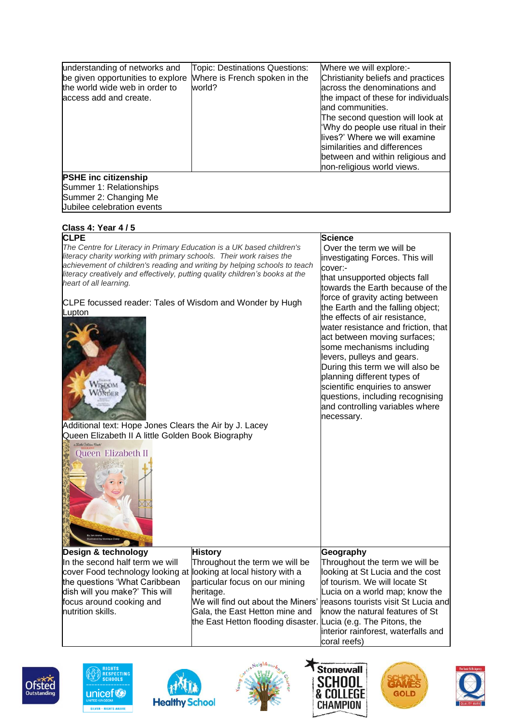| understanding of networks and<br>be given opportunities to explore<br>the world wide web in order to<br>access add and create. | Topic: Destinations Questions:<br>Where is French spoken in the<br>world? | Where we will explore:-<br>Christianity beliefs and practices<br>across the denominations and<br>the impact of these for individuals<br>and communities.<br>The second question will look at<br>'Why do people use ritual in their<br>lives?' Where we will examine<br>similarities and differences<br>between and within religious and |
|--------------------------------------------------------------------------------------------------------------------------------|---------------------------------------------------------------------------|-----------------------------------------------------------------------------------------------------------------------------------------------------------------------------------------------------------------------------------------------------------------------------------------------------------------------------------------|
|                                                                                                                                |                                                                           | non-religious world views.                                                                                                                                                                                                                                                                                                              |
| <b>PSHE inc citizenship</b><br>Summer 1: Relationships<br>Summer 2: Changing Me<br>Jubilee celebration events                  |                                                                           |                                                                                                                                                                                                                                                                                                                                         |

| Class 4: Year 4/5                                                                                      |                                                                |                                     |
|--------------------------------------------------------------------------------------------------------|----------------------------------------------------------------|-------------------------------------|
| <b>CLPE</b>                                                                                            |                                                                | <b>Science</b>                      |
| The Centre for Literacy in Primary Education is a UK based children's                                  |                                                                | Over the term we will be            |
| literacy charity working with primary schools. Their work raises the                                   |                                                                | investigating Forces. This will     |
| achievement of children's reading and writing by helping schools to teach                              |                                                                | cover:-                             |
| literacy creatively and effectively, putting quality children's books at the<br>heart of all learning. |                                                                | that unsupported objects fall       |
|                                                                                                        |                                                                | towards the Earth because of the    |
|                                                                                                        |                                                                | force of gravity acting between     |
| CLPE focussed reader: Tales of Wisdom and Wonder by Hugh<br>Lupton                                     |                                                                | the Earth and the falling object;   |
|                                                                                                        |                                                                | the effects of air resistance,      |
|                                                                                                        |                                                                | water resistance and friction, that |
|                                                                                                        |                                                                | act between moving surfaces;        |
|                                                                                                        |                                                                | some mechanisms including           |
|                                                                                                        |                                                                | levers, pulleys and gears.          |
|                                                                                                        |                                                                | During this term we will also be    |
| WISDOM                                                                                                 |                                                                | planning different types of         |
| WONDER                                                                                                 |                                                                | scientific enquiries to answer      |
|                                                                                                        |                                                                | questions, including recognising    |
|                                                                                                        |                                                                | and controlling variables where     |
| Additional text: Hope Jones Clears the Air by J. Lacey                                                 |                                                                | necessary.                          |
| Queen Elizabeth II A little Golden Book Biography                                                      |                                                                |                                     |
| a Stude Golden Book"                                                                                   |                                                                |                                     |
| Queen Elizabeth II                                                                                     |                                                                |                                     |
|                                                                                                        |                                                                |                                     |
|                                                                                                        |                                                                |                                     |
|                                                                                                        |                                                                |                                     |
|                                                                                                        |                                                                |                                     |
|                                                                                                        |                                                                |                                     |
|                                                                                                        |                                                                |                                     |
|                                                                                                        |                                                                |                                     |
|                                                                                                        |                                                                |                                     |
|                                                                                                        |                                                                |                                     |
| Design & technology                                                                                    | <b>History</b>                                                 | Geography                           |
| In the second half term we will                                                                        | Throughout the term we will be                                 | Throughout the term we will be      |
| cover Food technology looking at looking at local history with a                                       |                                                                | looking at St Lucia and the cost    |
| the questions 'What Caribbean                                                                          | particular focus on our mining                                 | of tourism. We will locate St       |
| dish will you make?' This will                                                                         | heritage.                                                      | Lucia on a world map; know the      |
| focus around cooking and                                                                               | We will find out about the Miners'                             | reasons tourists visit St Lucia and |
| nutrition skills.                                                                                      | Gala, the East Hetton mine and                                 | know the natural features of St     |
|                                                                                                        | the East Hetton flooding disaster. Lucia (e.g. The Pitons, the |                                     |
|                                                                                                        |                                                                | interior rainforest, waterfalls and |
|                                                                                                        |                                                                | coral reefs)                        |











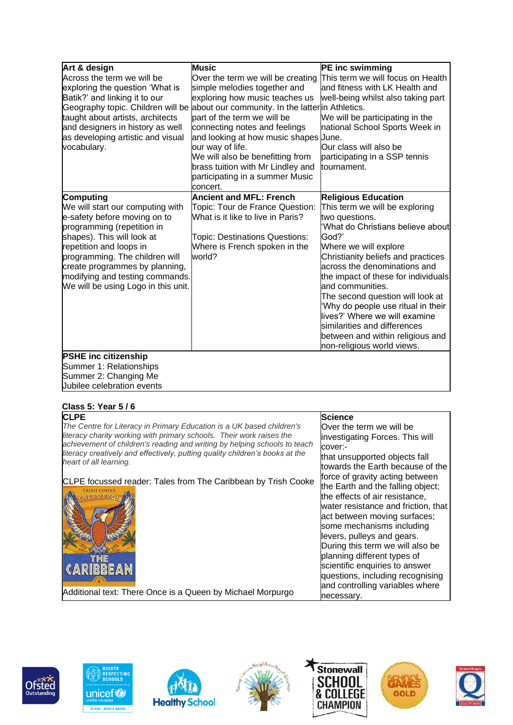| Art & design                        | <b>Music</b>                                                                      | PE inc swimming                                                     |
|-------------------------------------|-----------------------------------------------------------------------------------|---------------------------------------------------------------------|
| Across the term we will be          | Over the term we will be creating                                                 | This term we will focus on Health                                   |
| exploring the question 'What is     | simple melodies together and                                                      | and fitness with LK Health and                                      |
| Batik?' and linking it to our       | exploring how music teaches us                                                    | well-being whilst also taking part                                  |
|                                     | Geography topic. Children will be about our community. In the latterin Athletics. |                                                                     |
| taught about artists, architects    | part of the term we will be                                                       | We will be participating in the                                     |
| and designers in history as well    | connecting notes and feelings                                                     | national School Sports Week in                                      |
| as developing artistic and visual   | and looking at how music shapes June.                                             |                                                                     |
| vocabulary.                         | our way of life.                                                                  | Our class will also be                                              |
|                                     | We will also be benefitting from                                                  | participating in a SSP tennis                                       |
|                                     | brass tuition with Mr Lindley and                                                 | tournament.                                                         |
|                                     | participating in a summer Music                                                   |                                                                     |
|                                     | concert.                                                                          |                                                                     |
| Computing                           | <b>Ancient and MFL: French</b>                                                    | <b>Religious Education</b>                                          |
| We will start our computing with    | Topic: Tour de France Question:                                                   | This term we will be exploring                                      |
| e-safety before moving on to        | What is it like to live in Paris?                                                 | two questions.                                                      |
| programming (repetition in          |                                                                                   | What do Christians believe about                                    |
| shapes). This will look at          | Topic: Destinations Questions:                                                    | God?'                                                               |
| repetition and loops in             | Where is French spoken in the                                                     | Where we will explore                                               |
| programming. The children will      | world?                                                                            | Christianity beliefs and practices                                  |
| create programmes by planning,      |                                                                                   | across the denominations and                                        |
| modifying and testing commands.     |                                                                                   | the impact of these for individuals                                 |
| We will be using Logo in this unit. |                                                                                   | and communities.                                                    |
|                                     |                                                                                   | The second question will look at                                    |
|                                     |                                                                                   |                                                                     |
|                                     |                                                                                   | 'Why do people use ritual in their<br>lives?' Where we will examine |
|                                     |                                                                                   |                                                                     |
|                                     |                                                                                   | similarities and differences                                        |
|                                     |                                                                                   | between and within religious and                                    |
|                                     |                                                                                   | non-religious world views.                                          |
| <b>PSHE inc citizenship</b>         |                                                                                   |                                                                     |
| Summer 1: Relationships             |                                                                                   |                                                                     |
| Summer 2: Changing Me               |                                                                                   |                                                                     |
| Jubilee celebration events          |                                                                                   |                                                                     |

### **Class 5: Year 5 / 6**

| <b>CLPE</b>                                                                  | <b>Science</b>                      |
|------------------------------------------------------------------------------|-------------------------------------|
| The Centre for Literacy in Primary Education is a UK based children's        | Over the term we will be            |
| literacy charity working with primary schools. Their work raises the         | investigating Forces. This will     |
| achievement of children's reading and writing by helping schools to teach    | cover:-                             |
| literacy creatively and effectively, putting quality children's books at the | that unsupported objects fall       |
| heart of all learning.                                                       | towards the Earth because of the    |
| CLPE focussed reader: Tales from The Caribbean by Trish Cooke                | force of gravity acting between     |
|                                                                              | the Earth and the falling object;   |
|                                                                              | the effects of air resistance,      |
|                                                                              | water resistance and friction, that |
|                                                                              | act between moving surfaces;        |
|                                                                              | some mechanisms including           |
|                                                                              | levers, pulleys and gears.          |
|                                                                              | During this term we will also be    |
| I HE                                                                         | planning different types of         |
| CARIBBEAN                                                                    | scientific enquiries to answer      |
|                                                                              | questions, including recognising    |
|                                                                              | and controlling variables where     |
| Additional text: There Once is a Queen by Michael Morpurgo                   | necessary.                          |







**524 14** 

**Healthy School**